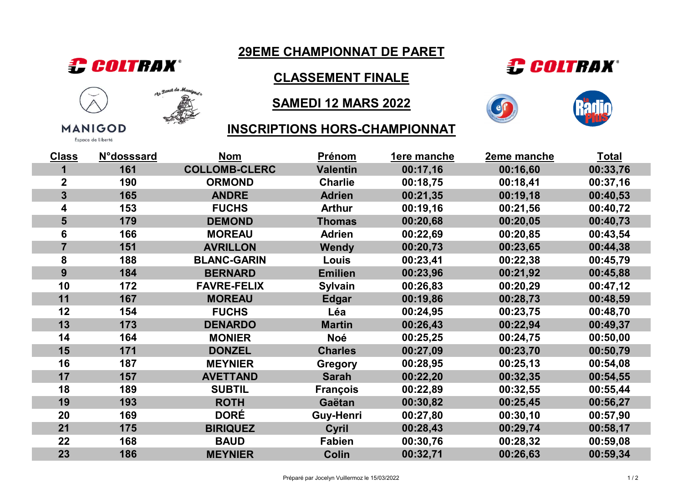

**MANIGOD** Espace de Liberté

112 Fand de Manigue ଛ

## 29EME CHAMPIONNAT DE PARET

CLASSEMENT FINALE

## SAMEDI 12 MARS 2022





#### INSCRIPTIONS HORS-CHAMPIONNAT

| <b>Class</b>            | <b>N°dosssard</b> | <b>Nom</b>           | Prénom          | 1ere manche | 2eme manche | <b>Total</b> |
|-------------------------|-------------------|----------------------|-----------------|-------------|-------------|--------------|
| 1                       | 161               | <b>COLLOMB-CLERC</b> | <b>Valentin</b> | 00:17,16    | 00:16,60    | 00:33,76     |
| $\mathbf 2$             | 190               | <b>ORMOND</b>        | <b>Charlie</b>  | 00:18,75    | 00:18,41    | 00:37,16     |
| $\overline{\mathbf{3}}$ | 165               | <b>ANDRE</b>         | <b>Adrien</b>   | 00:21,35    | 00:19,18    | 00:40,53     |
| 4                       | 153               | <b>FUCHS</b>         | <b>Arthur</b>   | 00:19,16    | 00:21,56    | 00:40,72     |
| $5\phantom{1}$          | 179               | <b>DEMOND</b>        | <b>Thomas</b>   | 00:20,68    | 00:20,05    | 00:40,73     |
| 6                       | 166               | <b>MOREAU</b>        | <b>Adrien</b>   | 00:22,69    | 00:20,85    | 00:43,54     |
| $\overline{7}$          | 151               | <b>AVRILLON</b>      | Wendy           | 00:20,73    | 00:23,65    | 00:44,38     |
| 8                       | 188               | <b>BLANC-GARIN</b>   | Louis           | 00:23,41    | 00:22,38    | 00:45,79     |
| 9                       | 184               | <b>BERNARD</b>       | <b>Emilien</b>  | 00:23,96    | 00:21,92    | 00:45,88     |
| 10                      | 172               | <b>FAVRE-FELIX</b>   | Sylvain         | 00:26,83    | 00:20,29    | 00:47,12     |
| 11                      | 167               | <b>MOREAU</b>        | <b>Edgar</b>    | 00:19,86    | 00:28,73    | 00:48,59     |
| 12                      | 154               | <b>FUCHS</b>         | Léa             | 00:24,95    | 00:23,75    | 00:48,70     |
| 13                      | 173               | <b>DENARDO</b>       | <b>Martin</b>   | 00:26,43    | 00:22,94    | 00:49,37     |
| 14                      | 164               | <b>MONIER</b>        | <b>Noé</b>      | 00:25,25    | 00:24,75    | 00:50,00     |
| 15                      | 171               | <b>DONZEL</b>        | <b>Charles</b>  | 00:27,09    | 00:23,70    | 00:50,79     |
| 16                      | 187               | <b>MEYNIER</b>       | <b>Gregory</b>  | 00:28,95    | 00:25,13    | 00:54,08     |
| 17                      | 157               | <b>AVETTAND</b>      | <b>Sarah</b>    | 00:22,20    | 00:32,35    | 00:54,55     |
| 18                      | 189               | <b>SUBTIL</b>        | <b>François</b> | 00:22,89    | 00:32,55    | 00:55,44     |
| 19                      | 193               | <b>ROTH</b>          | Gaëtan          | 00:30,82    | 00:25,45    | 00:56,27     |
| 20                      | 169               | <b>DORÉ</b>          | Guy-Henri       | 00:27,80    | 00:30,10    | 00:57,90     |
| 21                      | 175               | <b>BIRIQUEZ</b>      | Cyril           | 00:28,43    | 00:29,74    | 00:58,17     |
| 22                      | 168               | <b>BAUD</b>          | <b>Fabien</b>   | 00:30,76    | 00:28,32    | 00:59,08     |
| 23                      | 186               | <b>MEYNIER</b>       | <b>Colin</b>    | 00:32,71    | 00:26,63    | 00:59,34     |